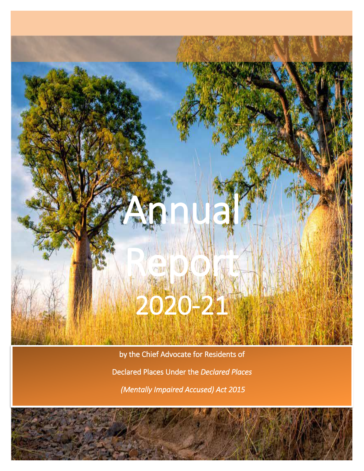# An Nal Report

i<br>L

# 2020-21

by the Chief Advocate for Residents of Declared Places Under the *Declared Places (Mentally Impaired Accused) Act 2015*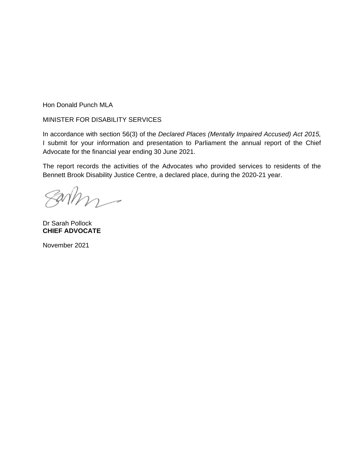Hon Donald Punch MLA

#### MINISTER FOR DISABILITY SERVICES

In accordance with section 56(3) of the *Declared Places (Mentally Impaired Accused) Act 2015,* I submit for your information and presentation to Parliament the annual report of the Chief Advocate for the financial year ending 30 June 2021.

The report records the activities of the Advocates who provided services to residents of the Bennett Brook Disability Justice Centre, a declared place, during the 2020-21 year.

 $anhn -$ 

Dr Sarah Pollock **CHIEF ADVOCATE**

November 2021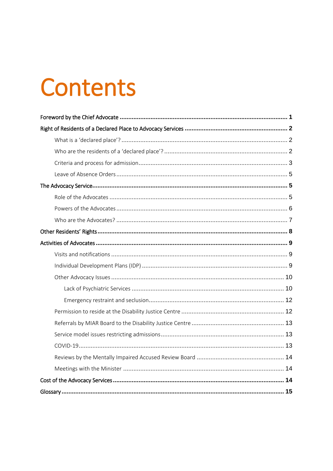## **Contents**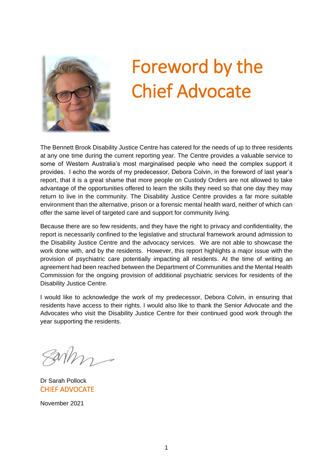

## <span id="page-3-0"></span>Foreword by the Chief Advocate

The Bennett Brook Disability Justice Centre has catered for the needs of up to three residents at any one time during the current reporting year. The Centre provides a valuable service to some of Western Australia's most marginalised people who need the complex support it provides. I echo the words of my predecessor, Debora Colvin, in the foreword of last year's report, that it is a great shame that more people on Custody Orders are not allowed to take advantage of the opportunities offered to learn the skills they need so that one day they may return to live in the community. The Disability Justice Centre provides a far more suitable environment than the alternative, prison or a forensic mental health ward, neither of which can offer the same level of targeted care and support for community living.

Because there are so few residents, and they have the right to privacy and confidentiality, the report is necessarily confined to the legislative and structural framework around admission to the Disability Justice Centre and the advocacy services. We are not able to showcase the work done with, and by the residents. However, this report highlights a major issue with the provision of psychiatric care potentially impacting all residents. At the time of writing an agreement had been reached between the Department of Communities and the Mental Health Commission for the ongoing provision of additional psychiatric services for residents of the Disability Justice Centre.

I would like to acknowledge the work of my predecessor, Debora Colvin, in ensuring that residents have access to their rights. I would also like to thank the Senior Advocate and the Advocates who visit the Disability Justice Centre for their continued good work through the year supporting the residents.

Dr Sarah Pollock CHIEF ADVOCATE

November 2021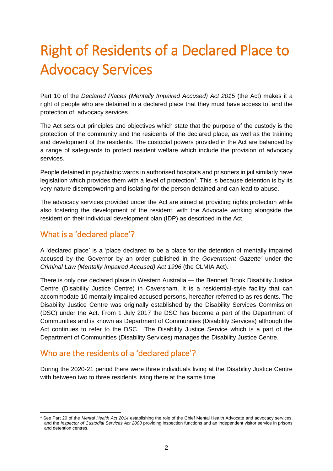### <span id="page-4-0"></span>Right of Residents of a Declared Place to Advocacy Services

Part 10 of the *Declared Places (Mentally Impaired Accused) Act 2015* (the Act) makes it a right of people who are detained in a declared place that they must have access to, and the protection of, advocacy services.

The Act sets out principles and objectives which state that the purpose of the custody is the protection of the community and the residents of the declared place, as well as the training and development of the residents. The custodial powers provided in the Act are balanced by a range of safeguards to protect resident welfare which include the provision of advocacy services.

People detained in psychiatric wards in authorised hospitals and prisoners in jail similarly have legislation which provides them with a level of protection<sup>1</sup>. This is because detention is by its very nature disempowering and isolating for the person detained and can lead to abuse.

The advocacy services provided under the Act are aimed at providing rights protection while also fostering the development of the resident, with the Advocate working alongside the resident on their individual development plan (IDP) as described in the Act.

### <span id="page-4-1"></span>What is a 'declared place'?

A 'declared place' is a 'place declared to be a place for the detention of mentally impaired accused by the Governor by an order published in the *Government Gazette'* under the *Criminal Law (Mentally Impaired Accused) Act 1996* (the CLMIA Act).

There is only one declared place in Western Australia — the Bennett Brook Disability Justice Centre (Disability Justice Centre) in Caversham. It is a residential-style facility that can accommodate 10 mentally impaired accused persons, hereafter referred to as residents. The Disability Justice Centre was originally established by the Disability Services Commission (DSC) under the Act. From 1 July 2017 the DSC has become a part of the Department of Communities and is known as Department of Communities (Disability Services) although the Act continues to refer to the DSC. The Disability Justice Service which is a part of the Department of Communities (Disability Services) manages the Disability Justice Centre.

### <span id="page-4-2"></span>Who are the residents of a 'declared place'?

During the 2020-21 period there were three individuals living at the Disability Justice Centre with between two to three residents living there at the same time.

<sup>1</sup> <sup>1</sup> See Part 20 of the *Mental Health Act 2014* establishing the role of the Chief Mental Health Advocate and advocacy services, and the *Inspector of Custodial Services Act 2003* providing inspection functions and an independent visitor service in prisons and detention centres.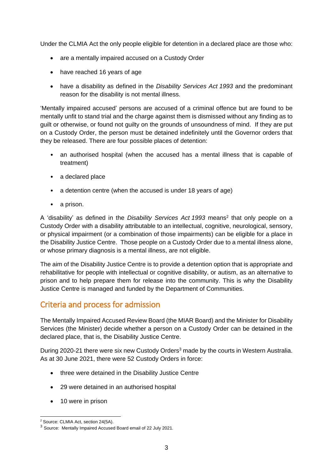Under the CLMIA Act the only people eligible for detention in a declared place are those who:

- are a mentally impaired accused on a Custody Order
- have reached 16 years of age
- have a disability as defined in the *Disability Services Act 1993* and the predominant reason for the disability is not mental illness.

'Mentally impaired accused' persons are accused of a criminal offence but are found to be mentally unfit to stand trial and the charge against them is dismissed without any finding as to guilt or otherwise, or found not guilty on the grounds of unsoundness of mind. If they are put on a Custody Order, the person must be detained indefinitely until the Governor orders that they be released. There are four possible places of detention:

- an authorised hospital (when the accused has a mental illness that is capable of treatment)
- a declared place
- a detention centre (when the accused is under 18 years of age)
- a prison.

A 'disability' as defined in the *Disability Services Act 1993* means<sup>2</sup> that only people on a Custody Order with a disability attributable to an intellectual, cognitive, neurological, sensory, or physical impairment (or a combination of those impairments) can be eligible for a place in the Disability Justice Centre. Those people on a Custody Order due to a mental illness alone, or whose primary diagnosis is a mental illness, are not eligible.

The aim of the Disability Justice Centre is to provide a detention option that is appropriate and rehabilitative for people with intellectual or cognitive disability, or autism, as an alternative to prison and to help prepare them for release into the community. This is why the Disability Justice Centre is managed and funded by the Department of Communities.

### <span id="page-5-0"></span>Criteria and process for admission

The Mentally Impaired Accused Review Board (the MIAR Board) and the Minister for Disability Services (the Minister) decide whether a person on a Custody Order can be detained in the declared place, that is, the Disability Justice Centre.

During 2020-21 there were six new Custody Orders<sup>3</sup> made by the courts in Western Australia. As at 30 June 2021, there were 52 Custody Orders in force:

- three were detained in the Disability Justice Centre
- 29 were detained in an authorised hospital
- 10 were in prison

<sup>-</sup><sup>2</sup> Source: CLMIA Act, section 24(5A).

<sup>3</sup> Source: Mentally Impaired Accused Board email of 22 July 2021.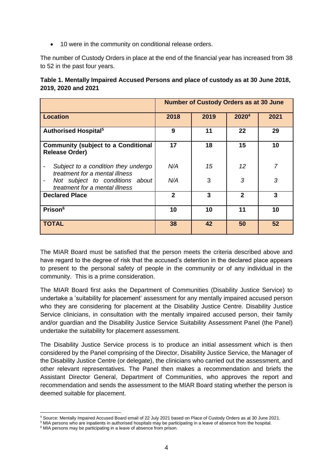• 10 were in the community on conditional release orders.

The number of Custody Orders in place at the end of the financial year has increased from 38 to 52 in the past four years.

| Table 1. Mentally Impaired Accused Persons and place of custody as at 30 June 2018, |
|-------------------------------------------------------------------------------------|
| 2019, 2020 and 2021                                                                 |

|                                                                                                   | <b>Number of Custody Orders as at 30 June</b> |      |                   |      |
|---------------------------------------------------------------------------------------------------|-----------------------------------------------|------|-------------------|------|
| <b>Location</b>                                                                                   | 2018                                          | 2019 | 2020 <sup>4</sup> | 2021 |
| <b>Authorised Hospital</b> <sup>5</sup>                                                           | 9                                             | 11   | 22                | 29   |
| <b>Community (subject to a Conditional</b><br><b>Release Order)</b>                               | 17                                            | 18   | 15                | 10   |
| Subject to a condition they undergo<br>treatment for a mental illness                             | N/A                                           | 15   | 12                |      |
| Not subject to conditions about<br>$\qquad \qquad \blacksquare$<br>treatment for a mental illness | N/A                                           | 3    | 3                 | 3    |
| <b>Declared Place</b>                                                                             | $\overline{2}$                                | 3    | $\mathbf{2}$      | 3    |
| <b>Prison</b> <sup>6</sup>                                                                        | 10                                            | 10   | 11                | 10   |
| <b>TOTAL</b>                                                                                      | 38                                            | 42   | 50                | 52   |

The MIAR Board must be satisfied that the person meets the criteria described above and have regard to the degree of risk that the accused's detention in the declared place appears to present to the personal safety of people in the community or of any individual in the community. This is a prime consideration.

The MIAR Board first asks the Department of Communities (Disability Justice Service) to undertake a 'suitability for placement' assessment for any mentally impaired accused person who they are considering for placement at the Disability Justice Centre. Disability Justice Service clinicians, in consultation with the mentally impaired accused person, their family and/or guardian and the Disability Justice Service Suitability Assessment Panel (the Panel) undertake the suitability for placement assessment.

The Disability Justice Service process is to produce an initial assessment which is then considered by the Panel comprising of the Director, Disability Justice Service, the Manager of the Disability Justice Centre (or delegate), the clinicians who carried out the assessment, and other relevant representatives. The Panel then makes a recommendation and briefs the Assistant Director General, Department of Communities, who approves the report and recommendation and sends the assessment to the MIAR Board stating whether the person is deemed suitable for placement.

<sup>1</sup> <sup>4</sup> Source: Mentally Impaired Accused Board email of 22 July 2021 based on Place of Custody Orders as at 30 June 2021.

<sup>5</sup> MIA persons who are inpatients in authorised hospitals may be participating in a leave of absence from the hospital.

<sup>&</sup>lt;sup>6</sup> MIA persons may be participating in a leave of absence from prison.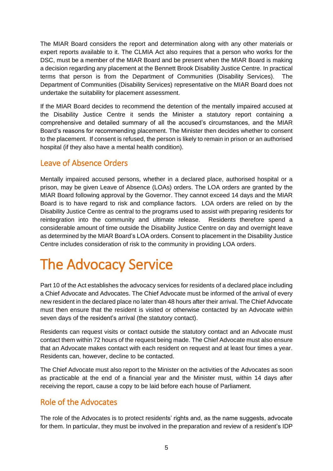The MIAR Board considers the report and determination along with any other materials or expert reports available to it. The CLMIA Act also requires that a person who works for the DSC, must be a member of the MIAR Board and be present when the MIAR Board is making a decision regarding any placement at the Bennett Brook Disability Justice Centre. In practical terms that person is from the Department of Communities (Disability Services). The Department of Communities (Disability Services) representative on the MIAR Board does not undertake the suitability for placement assessment.

If the MIAR Board decides to recommend the detention of the mentally impaired accused at the Disability Justice Centre it sends the Minister a statutory report containing a comprehensive and detailed summary of all the accused's circumstances, and the MIAR Board's reasons for recommending placement. The Minister then decides whether to consent to the placement. If consent is refused, the person is likely to remain in prison or an authorised hospital (if they also have a mental health condition).

### <span id="page-7-0"></span>Leave of Absence Orders

Mentally impaired accused persons, whether in a declared place, authorised hospital or a prison, may be given Leave of Absence (LOAs) orders. The LOA orders are granted by the MIAR Board following approval by the Governor. They cannot exceed 14 days and the MIAR Board is to have regard to risk and compliance factors. LOA orders are relied on by the Disability Justice Centre as central to the programs used to assist with preparing residents for reintegration into the community and ultimate release. Residents therefore spend a considerable amount of time outside the Disability Justice Centre on day and overnight leave as determined by the MIAR Board's LOA orders. Consent to placement in the Disability Justice Centre includes consideration of risk to the community in providing LOA orders.

### <span id="page-7-1"></span>The Advocacy Service

Part 10 of the Act establishes the advocacy services for residents of a declared place including a Chief Advocate and Advocates. The Chief Advocate must be informed of the arrival of every new resident in the declared place no later than 48 hours after their arrival. The Chief Advocate must then ensure that the resident is visited or otherwise contacted by an Advocate within seven days of the resident's arrival (the statutory contact).

Residents can request visits or contact outside the statutory contact and an Advocate must contact them within 72 hours of the request being made. The Chief Advocate must also ensure that an Advocate makes contact with each resident on request and at least four times a year. Residents can, however, decline to be contacted.

The Chief Advocate must also report to the Minister on the activities of the Advocates as soon as practicable at the end of a financial year and the Minister must, within 14 days after receiving the report, cause a copy to be laid before each house of Parliament.

### <span id="page-7-2"></span>Role of the Advocates

The role of the Advocates is to protect residents' rights and, as the name suggests, advocate for them. In particular, they must be involved in the preparation and review of a resident's IDP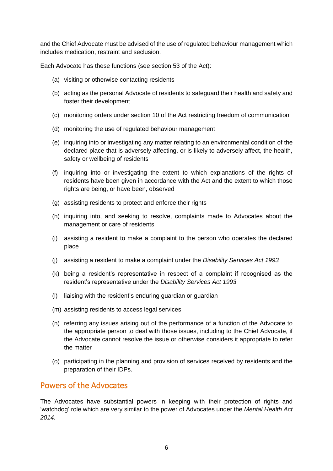and the Chief Advocate must be advised of the use of regulated behaviour management which includes medication, restraint and seclusion.

Each Advocate has these functions (see section 53 of the Act):

- (a) visiting or otherwise contacting residents
- (b) acting as the personal Advocate of residents to safeguard their health and safety and foster their development
- (c) monitoring orders under section 10 of the Act restricting freedom of communication
- (d) monitoring the use of regulated behaviour management
- (e) inquiring into or investigating any matter relating to an environmental condition of the declared place that is adversely affecting, or is likely to adversely affect, the health, safety or wellbeing of residents
- (f) inquiring into or investigating the extent to which explanations of the rights of residents have been given in accordance with the Act and the extent to which those rights are being, or have been, observed
- (g) assisting residents to protect and enforce their rights
- (h) inquiring into, and seeking to resolve, complaints made to Advocates about the management or care of residents
- (i) assisting a resident to make a complaint to the person who operates the declared place
- (j) assisting a resident to make a complaint under the *Disability Services Act 1993*
- (k) being a resident's representative in respect of a complaint if recognised as the resident's representative under the *Disability Services Act 1993*
- (l) liaising with the resident's enduring guardian or guardian
- (m) assisting residents to access legal services
- (n) referring any issues arising out of the performance of a function of the Advocate to the appropriate person to deal with those issues, including to the Chief Advocate, if the Advocate cannot resolve the issue or otherwise considers it appropriate to refer the matter
- (o) participating in the planning and provision of services received by residents and the preparation of their IDPs.

### <span id="page-8-0"></span>Powers of the Advocates

The Advocates have substantial powers in keeping with their protection of rights and 'watchdog' role which are very similar to the power of Advocates under the *Mental Health Act 2014.*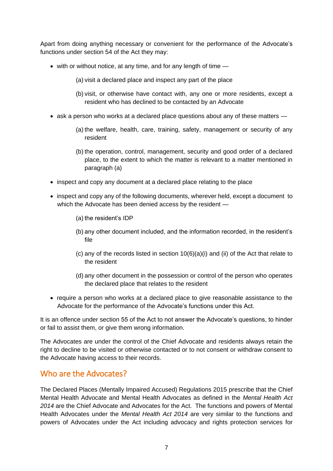Apart from doing anything necessary or convenient for the performance of the Advocate's functions under section 54 of the Act they may:

- with or without notice, at any time, and for any length of time
	- (a) visit a declared place and inspect any part of the place
	- (b) visit, or otherwise have contact with, any one or more residents, except a resident who has declined to be contacted by an Advocate
- ask a person who works at a declared place questions about any of these matters
	- (a) the welfare, health, care, training, safety, management or security of any resident
	- (b) the operation, control, management, security and good order of a declared place, to the extent to which the matter is relevant to a matter mentioned in paragraph (a)
- inspect and copy any document at a declared place relating to the place
- inspect and copy any of the following documents, wherever held, except a document to which the Advocate has been denied access by the resident —
	- (a) the resident's IDP
	- (b) any other document included, and the information recorded, in the resident's file
	- (c) any of the records listed in section  $10(6)(a)(i)$  and (ii) of the Act that relate to the resident
	- (d) any other document in the possession or control of the person who operates the declared place that relates to the resident
- require a person who works at a declared place to give reasonable assistance to the Advocate for the performance of the Advocate's functions under this Act.

It is an offence under section 55 of the Act to not answer the Advocate's questions, to hinder or fail to assist them, or give them wrong information.

The Advocates are under the control of the Chief Advocate and residents always retain the right to decline to be visited or otherwise contacted or to not consent or withdraw consent to the Advocate having access to their records.

### <span id="page-9-0"></span>Who are the Advocates?

The Declared Places (Mentally Impaired Accused) Regulations 2015 prescribe that the Chief Mental Health Advocate and Mental Health Advocates as defined in the *Mental Health Act 2014* are the Chief Advocate and Advocates for the Act. The functions and powers of Mental Health Advocates under the *Mental Health Act 2014* are very similar to the functions and powers of Advocates under the Act including advocacy and rights protection services for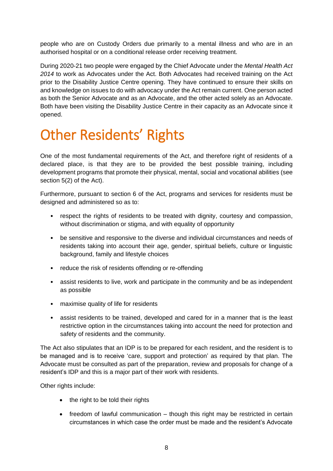people who are on Custody Orders due primarily to a mental illness and who are in an authorised hospital or on a conditional release order receiving treatment.

During 2020-21 two people were engaged by the Chief Advocate under the *Mental Health Act 2014* to work as Advocates under the Act. Both Advocates had received training on the Act prior to the Disability Justice Centre opening. They have continued to ensure their skills on and knowledge on issues to do with advocacy under the Act remain current. One person acted as both the Senior Advocate and as an Advocate, and the other acted solely as an Advocate. Both have been visiting the Disability Justice Centre in their capacity as an Advocate since it opened.

### <span id="page-10-0"></span>Other Residents' Rights

One of the most fundamental requirements of the Act, and therefore right of residents of a declared place, is that they are to be provided the best possible training, including development programs that promote their physical, mental, social and vocational abilities (see section 5(2) of the Act).

Furthermore, pursuant to section 6 of the Act, programs and services for residents must be designed and administered so as to:

- respect the rights of residents to be treated with dignity, courtesy and compassion, without discrimination or stigma, and with equality of opportunity
- be sensitive and responsive to the diverse and individual circumstances and needs of residents taking into account their age, gender, spiritual beliefs, culture or linguistic background, family and lifestyle choices
- reduce the risk of residents offending or re-offending
- assist residents to live, work and participate in the community and be as independent as possible
- maximise quality of life for residents
- assist residents to be trained, developed and cared for in a manner that is the least restrictive option in the circumstances taking into account the need for protection and safety of residents and the community.

The Act also stipulates that an IDP is to be prepared for each resident, and the resident is to be managed and is to receive 'care, support and protection' as required by that plan. The Advocate must be consulted as part of the preparation, review and proposals for change of a resident's IDP and this is a major part of their work with residents.

Other rights include:

- the right to be told their rights
- freedom of lawful communication though this right may be restricted in certain circumstances in which case the order must be made and the resident's Advocate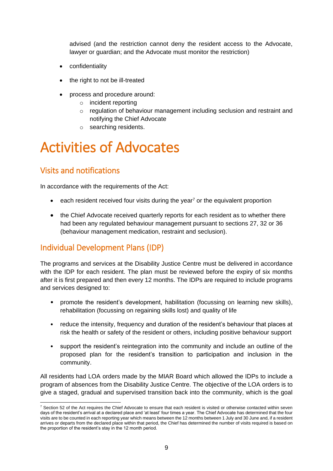advised (and the restriction cannot deny the resident access to the Advocate, lawyer or guardian; and the Advocate must monitor the restriction)

- confidentiality
- the right to not be ill-treated
- process and procedure around:
	- o incident reporting
	- o regulation of behaviour management including seclusion and restraint and notifying the Chief Advocate
	- o searching residents.

### <span id="page-11-0"></span>Activities of Advocates

### <span id="page-11-1"></span>Visits and notifications

In accordance with the requirements of the Act:

- $\bullet$  each resident received four visits during the year<sup>7</sup> or the equivalent proportion
- the Chief Advocate received quarterly reports for each resident as to whether there had been any regulated behaviour management pursuant to sections 27, 32 or 36 (behaviour management medication, restraint and seclusion).

### <span id="page-11-2"></span>Individual Development Plans (IDP)

The programs and services at the Disability Justice Centre must be delivered in accordance with the IDP for each resident. The plan must be reviewed before the expiry of six months after it is first prepared and then every 12 months. The IDPs are required to include programs and services designed to:

- promote the resident's development, habilitation (focussing on learning new skills), rehabilitation (focussing on regaining skills lost) and quality of life
- reduce the intensity, frequency and duration of the resident's behaviour that places at risk the health or safety of the resident or others, including positive behaviour support
- support the resident's reintegration into the community and include an outline of the proposed plan for the resident's transition to participation and inclusion in the community.

All residents had LOA orders made by the MIAR Board which allowed the IDPs to include a program of absences from the Disability Justice Centre. The objective of the LOA orders is to give a staged, gradual and supervised transition back into the community, which is the goal

<sup>1</sup> <sup>7</sup> Section 52 of the Act requires the Chief Advocate to ensure that each resident is visited or otherwise contacted within seven days of the resident's arrival at a declared place and 'at least' four times a year. The Chief Advocate has determined that the four visits are to be counted in each reporting year which means between the 12 months between 1 July and 30 June and, if a resident arrives or departs from the declared place within that period, the Chief has determined the number of visits required is based on the proportion of the resident's stay in the 12 month period.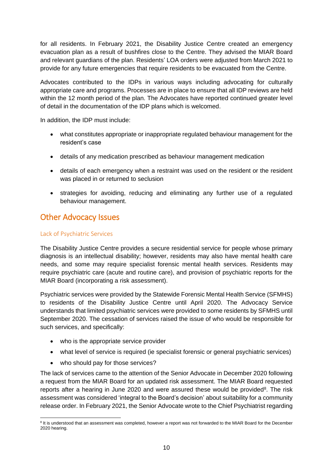for all residents. In February 2021, the Disability Justice Centre created an emergency evacuation plan as a result of bushfires close to the Centre. They advised the MIAR Board and relevant guardians of the plan. Residents' LOA orders were adjusted from March 2021 to provide for any future emergencies that require residents to be evacuated from the Centre.

Advocates contributed to the IDPs in various ways including advocating for culturally appropriate care and programs. Processes are in place to ensure that all IDP reviews are held within the 12 month period of the plan. The Advocates have reported continued greater level of detail in the documentation of the IDP plans which is welcomed.

In addition, the IDP must include:

- what constitutes appropriate or inappropriate regulated behaviour management for the resident's case
- details of any medication prescribed as behaviour management medication
- details of each emergency when a restraint was used on the resident or the resident was placed in or returned to seclusion
- strategies for avoiding, reducing and eliminating any further use of a regulated behaviour management.

#### <span id="page-12-0"></span>Other Advocacy Issues

#### <span id="page-12-1"></span>Lack of Psychiatric Services

The Disability Justice Centre provides a secure residential service for people whose primary diagnosis is an intellectual disability; however, residents may also have mental health care needs, and some may require specialist forensic mental health services. Residents may require psychiatric care (acute and routine care), and provision of psychiatric reports for the MIAR Board (incorporating a risk assessment).

Psychiatric services were provided by the Statewide Forensic Mental Health Service (SFMHS) to residents of the Disability Justice Centre until April 2020. The Advocacy Service understands that limited psychiatric services were provided to some residents by SFMHS until September 2020. The cessation of services raised the issue of who would be responsible for such services, and specifically:

- who is the appropriate service provider
- what level of service is required (ie specialist forensic or general psychiatric services)
- who should pay for those services?

The lack of services came to the attention of the Senior Advocate in December 2020 following a request from the MIAR Board for an updated risk assessment. The MIAR Board requested reports after a hearing in June 2020 and were assured these would be provided $8$ . The risk assessment was considered 'integral to the Board's decision' about suitability for a community release order. In February 2021, the Senior Advocate wrote to the Chief Psychiatrist regarding

<sup>-</sup><sup>8</sup> It is understood that an assessment was completed, however a report was not forwarded to the MIAR Board for the December 2020 hearing.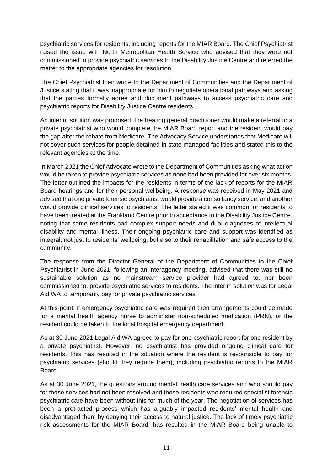psychiatric services for residents, including reports for the MIAR Board. The Chief Psychiatrist raised the issue with North Metropolitan Health Service who advised that they were not commissioned to provide psychiatric services to the Disability Justice Centre and referred the matter to the appropriate agencies for resolution.

The Chief Psychiatrist then wrote to the Department of Communities and the Department of Justice stating that it was inappropriate for him to negotiate operational pathways and asking that the parties formally agree and document pathways to access psychiatric care and psychiatric reports for Disability Justice Centre residents.

An interim solution was proposed: the treating general practitioner would make a referral to a private psychiatrist who would complete the MIAR Board report and the resident would pay the gap after the rebate from Medicare. The Advocacy Service understands that Medicare will not cover such services for people detained in state managed facilities and stated this to the relevant agencies at the time.

In March 2021 the Chief Advocate wrote to the Department of Communities asking what action would be taken to provide psychiatric services as none had been provided for over six months. The letter outlined the impacts for the residents in terms of the lack of reports for the MIAR Board hearings and for their personal wellbeing. A response was received in May 2021 and advised that one private forensic psychiatrist would provide a consultancy service, and another would provide clinical services to residents. The letter stated it was common for residents to have been treated at the Frankland Centre prior to acceptance to the Disability Justice Centre, noting that some residents had complex support needs and dual diagnoses of intellectual disability and mental illness. Their ongoing psychiatric care and support was identified as integral, not just to residents' wellbeing, but also to their rehabilitation and safe access to the community.

The response from the Director General of the Department of Communities to the Chief Psychiatrist in June 2021, following an interagency meeting, advised that there was still no sustainable solution as no mainstream service provider had agreed to, nor been commissioned to, provide psychiatric services to residents. The interim solution was for Legal Aid WA to temporarily pay for private psychiatric services.

At this point, if emergency psychiatric care was required then arrangements could be made for a mental health agency nurse to administer non-scheduled medication (PRN), or the resident could be taken to the local hospital emergency department.

As at 30 June 2021 Legal Aid WA agreed to pay for one psychiatric report for one resident by a private psychiatrist. However, no psychiatrist has provided ongoing clinical care for residents. This has resulted in the situation where the resident is responsible to pay for psychiatric services (should they require them), including psychiatric reports to the MIAR Board.

As at 30 June 2021, the questions around mental health care services and who should pay for those services had not been resolved and those residents who required specialist forensic psychiatric care have been without this for much of the year. The negotiation of services has been a protracted process which has arguably impacted residents' mental health and disadvantaged them by denying their access to natural justice. The lack of timely psychiatric risk assessments for the MIAR Board, has resulted in the MIAR Board being unable to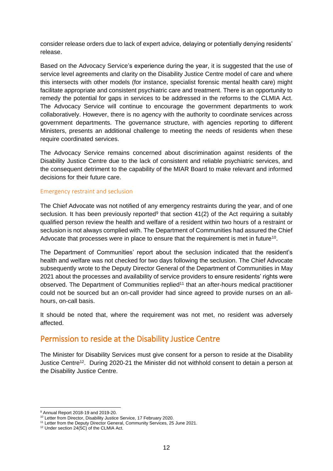consider release orders due to lack of expert advice, delaying or potentially denying residents' release.

Based on the Advocacy Service's experience during the year, it is suggested that the use of service level agreements and clarity on the Disability Justice Centre model of care and where this intersects with other models (for instance, specialist forensic mental health care) might facilitate appropriate and consistent psychiatric care and treatment. There is an opportunity to remedy the potential for gaps in services to be addressed in the reforms to the CLMIA Act. The Advocacy Service will continue to encourage the government departments to work collaboratively. However, there is no agency with the authority to coordinate services across government departments. The governance structure, with agencies reporting to different Ministers, presents an additional challenge to meeting the needs of residents when these require coordinated services.

The Advocacy Service remains concerned about discrimination against residents of the Disability Justice Centre due to the lack of consistent and reliable psychiatric services, and the consequent detriment to the capability of the MIAR Board to make relevant and informed decisions for their future care.

#### <span id="page-14-0"></span>Emergency restraint and seclusion

The Chief Advocate was not notified of any emergency restraints during the year, and of one seclusion. It has been previously reported<sup>9</sup> that section  $41(2)$  of the Act requiring a suitably qualified person review the health and welfare of a resident within two hours of a restraint or seclusion is not always complied with. The Department of Communities had assured the Chief Advocate that processes were in place to ensure that the requirement is met in future<sup>10</sup>.

The Department of Communities' report about the seclusion indicated that the resident's health and welfare was not checked for two days following the seclusion. The Chief Advocate subsequently wrote to the Deputy Director General of the Department of Communities in May 2021 about the processes and availability of service providers to ensure residents' rights were observed. The Department of Communities replied<sup>11</sup> that an after-hours medical practitioner could not be sourced but an on-call provider had since agreed to provide nurses on an allhours, on-call basis.

It should be noted that, where the requirement was not met, no resident was adversely affected.

### <span id="page-14-1"></span>Permission to reside at the Disability Justice Centre

The Minister for Disability Services must give consent for a person to reside at the Disability Justice Centre<sup>12</sup>. During 2020-21 the Minister did not withhold consent to detain a person at the Disability Justice Centre.

<sup>-</sup><sup>9</sup> Annual Report 2018-19 and 2019-20.

<sup>&</sup>lt;sup>10</sup> Letter from Director, Disability Justice Service, 17 February 2020.

<sup>&</sup>lt;sup>11</sup> Letter from the Deputy Director General, Community Services, 25 June 2021.

<sup>12</sup> Under section 24(5C) of the CLMIA Act.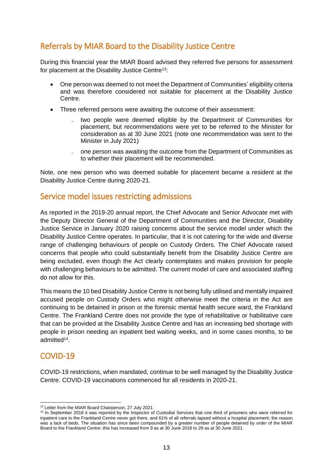### <span id="page-15-0"></span>Referrals by MIAR Board to the Disability Justice Centre

During this financial year the MIAR Board advised they referred five persons for assessment for placement at the Disability Justice Centre<sup>13</sup>:

- One person was deemed to not meet the Department of Communities' eligibility criteria and was therefore considered not suitable for placement at the Disability Justice Centre.
- Three referred persons were awaiting the outcome of their assessment:
	- ̵ two people were deemed eligible by the Department of Communities for placement, but recommendations were yet to be referred to the Minister for consideration as at 30 June 2021 (note one recommendation was sent to the Minister in July 2021)
	- one person was awaiting the outcome from the Department of Communities as to whether their placement will be recommended.

Note, one new person who was deemed suitable for placement became a resident at the Disability Justice Centre during 2020-21.

#### <span id="page-15-1"></span>Service model issues restricting admissions

As reported in the 2019-20 annual report, the Chief Advocate and Senior Advocate met with the Deputy Director General of the Department of Communities and the Director, Disability Justice Service in January 2020 raising concerns about the service model under which the Disability Justice Centre operates. In particular, that it is not catering for the wide and diverse range of challenging behaviours of people on Custody Orders. The Chief Advocate raised concerns that people who could substantially benefit from the Disability Justice Centre are being excluded, even though the Act clearly contemplates and makes provision for people with challenging behaviours to be admitted. The current model of care and associated staffing do not allow for this.

This means the 10 bed Disability Justice Centre is not being fully utilised and mentally impaired accused people on Custody Orders who might otherwise meet the criteria in the Act are continuing to be detained in prison or the forensic mental health secure ward, the Frankland Centre. The Frankland Centre does not provide the type of rehabilitative or habilitative care that can be provided at the Disability Justice Centre and has an increasing bed shortage with people in prison needing an inpatient bed waiting weeks, and in some cases months, to be admitted<sup>14</sup> .

### <span id="page-15-2"></span>COVID-19

1

COVID-19 restrictions, when mandated, continue to be well managed by the Disability Justice Centre. COVID-19 vaccinations commenced for all residents in 2020-21.

<sup>13</sup> Letter from the MIAR Board Chairperson, 27 July 2021.

<sup>&</sup>lt;sup>14</sup> In September 2018 it was reported by the Inspector of Custodial Services that one third of prisoners who were referred for inpatient care to the Frankland Centre never got there, and 61% of all referrals lapsed without a hospital placement; the reason was a lack of beds. The situation has since been compounded by a greater number of people detained by order of the MIAR Board to the Frankland Centre: this has increased from 9 as at 30 June 2018 to 29 as at 30 June 2021.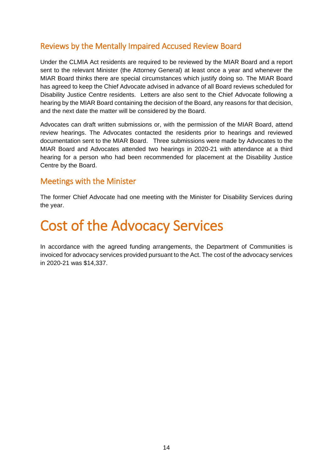### <span id="page-16-0"></span>Reviews by the Mentally Impaired Accused Review Board

Under the CLMIA Act residents are required to be reviewed by the MIAR Board and a report sent to the relevant Minister (the Attorney General) at least once a year and whenever the MIAR Board thinks there are special circumstances which justify doing so. The MIAR Board has agreed to keep the Chief Advocate advised in advance of all Board reviews scheduled for Disability Justice Centre residents. Letters are also sent to the Chief Advocate following a hearing by the MIAR Board containing the decision of the Board, any reasons for that decision, and the next date the matter will be considered by the Board.

Advocates can draft written submissions or, with the permission of the MIAR Board, attend review hearings. The Advocates contacted the residents prior to hearings and reviewed documentation sent to the MIAR Board. Three submissions were made by Advocates to the MIAR Board and Advocates attended two hearings in 2020-21 with attendance at a third hearing for a person who had been recommended for placement at the Disability Justice Centre by the Board.

### <span id="page-16-1"></span>Meetings with the Minister

The former Chief Advocate had one meeting with the Minister for Disability Services during the year.

### <span id="page-16-2"></span>Cost of the Advocacy Services

In accordance with the agreed funding arrangements, the Department of Communities is invoiced for advocacy services provided pursuant to the Act. The cost of the advocacy services in 2020-21 was \$14,337.